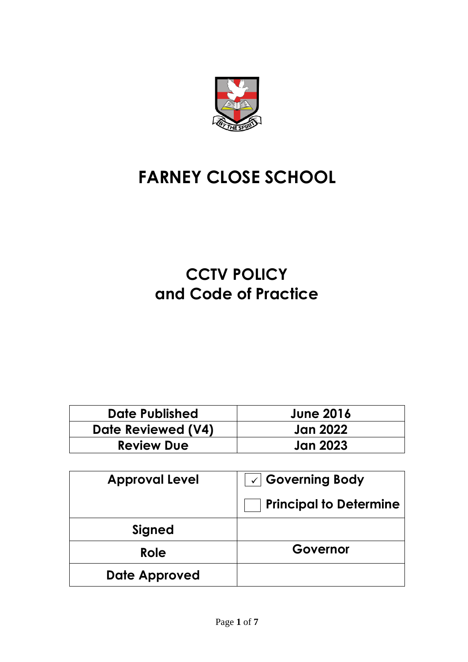

# **FARNEY CLOSE SCHOOL**

# **CCTV POLICY and Code of Practice**

| Date Published     | <b>June 2016</b> |
|--------------------|------------------|
| Date Reviewed (V4) | Jan 2022         |
| <b>Review Due</b>  | <b>Jan 2023</b>  |

| <b>Approval Level</b> | $\sqrt{2}$ Governing Body     |  |
|-----------------------|-------------------------------|--|
|                       | <b>Principal to Determine</b> |  |
| <b>Signed</b>         |                               |  |
| Role                  | Governor                      |  |
| <b>Date Approved</b>  |                               |  |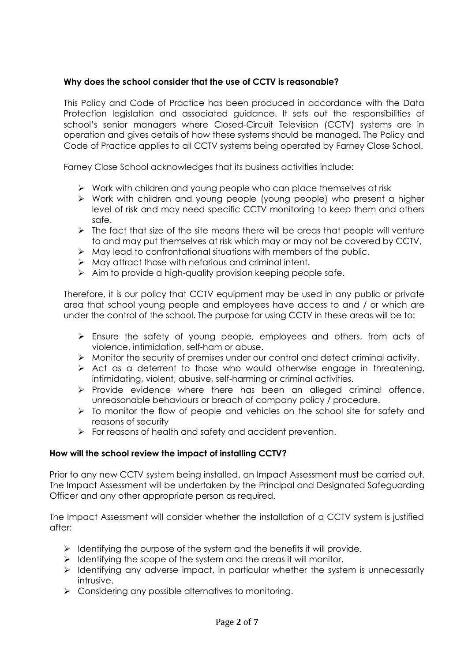## **Why does the school consider that the use of CCTV is reasonable?**

This Policy and Code of Practice has been produced in accordance with the Data Protection legislation and associated guidance. It sets out the responsibilities of school's senior managers where Closed-Circuit Television (CCTV) systems are in operation and gives details of how these systems should be managed. The Policy and Code of Practice applies to all CCTV systems being operated by Farney Close School.

Farney Close School acknowledges that its business activities include:

- ➢ Work with children and young people who can place themselves at risk
- ➢ Work with children and young people (young people) who present a higher level of risk and may need specific CCTV monitoring to keep them and others safe.
- $\triangleright$  The fact that size of the site means there will be areas that people will venture to and may put themselves at risk which may or may not be covered by CCTV,
- ➢ May lead to confrontational situations with members of the public.
- ➢ May attract those with nefarious and criminal intent.
- ➢ Aim to provide a high-quality provision keeping people safe.

Therefore, it is our policy that CCTV equipment may be used in any public or private area that school young people and employees have access to and / or which are under the control of the school. The purpose for using CCTV in these areas will be to:

- ➢ Ensure the safety of young people, employees and others, from acts of violence, intimidation, self-ham or abuse.
- ➢ Monitor the security of premises under our control and detect criminal activity.
- ➢ Act as a deterrent to those who would otherwise engage in threatening, intimidating, violent, abusive, self-harming or criminal activities.
- ➢ Provide evidence where there has been an alleged criminal offence, unreasonable behaviours or breach of company policy / procedure.
- ➢ To monitor the flow of people and vehicles on the school site for safety and reasons of security
- ➢ For reasons of health and safety and accident prevention.

#### **How will the school review the impact of installing CCTV?**

Prior to any new CCTV system being installed, an Impact Assessment must be carried out. The Impact Assessment will be undertaken by the Principal and Designated Safeguarding Officer and any other appropriate person as required.

The Impact Assessment will consider whether the installation of a CCTV system is justified after:

- $\triangleright$  Identifying the purpose of the system and the benefits it will provide.
- ➢ Identifying the scope of the system and the areas it will monitor.
- ➢ Identifying any adverse impact, in particular whether the system is unnecessarily intrusive.
- ➢ Considering any possible alternatives to monitoring.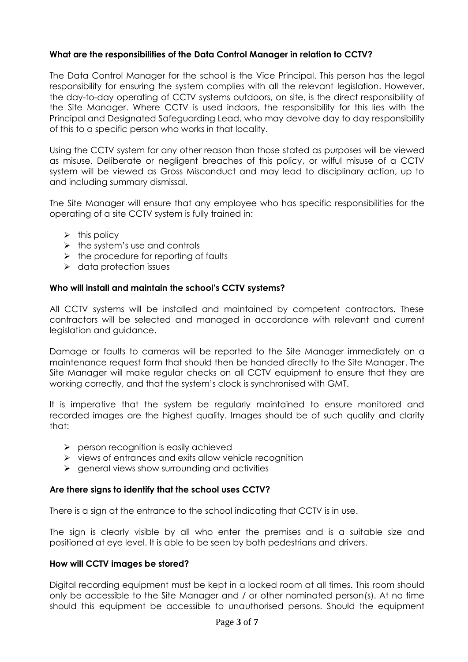### **What are the responsibilities of the Data Control Manager in relation to CCTV?**

The Data Control Manager for the school is the Vice Principal. This person has the legal responsibility for ensuring the system complies with all the relevant legislation. However, the day-to-day operating of CCTV systems outdoors, on site, is the direct responsibility of the Site Manager. Where CCTV is used indoors, the responsibility for this lies with the Principal and Designated Safeguarding Lead, who may devolve day to day responsibility of this to a specific person who works in that locality.

Using the CCTV system for any other reason than those stated as purposes will be viewed as misuse. Deliberate or negligent breaches of this policy, or wilful misuse of a CCTV system will be viewed as Gross Misconduct and may lead to disciplinary action, up to and including summary dismissal.

The Site Manager will ensure that any employee who has specific responsibilities for the operating of a site CCTV system is fully trained in:

- $\triangleright$  this policy
- $\triangleright$  the system's use and controls
- $\triangleright$  the procedure for reporting of faults
- ➢ data protection issues

## **Who will install and maintain the school's CCTV systems?**

All CCTV systems will be installed and maintained by competent contractors. These contractors will be selected and managed in accordance with relevant and current legislation and guidance.

Damage or faults to cameras will be reported to the Site Manager immediately on a maintenance request form that should then be handed directly to the Site Manager. The Site Manager will make regular checks on all CCTV equipment to ensure that they are working correctly, and that the system's clock is synchronised with GMT.

It is imperative that the system be regularly maintained to ensure monitored and recorded images are the highest quality. Images should be of such quality and clarity that:

- ➢ person recognition is easily achieved
- ➢ views of entrances and exits allow vehicle recognition
- ➢ general views show surrounding and activities

#### **Are there signs to identify that the school uses CCTV?**

There is a sign at the entrance to the school indicating that CCTV is in use.

The sign is clearly visible by all who enter the premises and is a suitable size and positioned at eye level. It is able to be seen by both pedestrians and drivers.

#### **How will CCTV images be stored?**

Digital recording equipment must be kept in a locked room at all times. This room should only be accessible to the Site Manager and / or other nominated person(s). At no time should this equipment be accessible to unauthorised persons. Should the equipment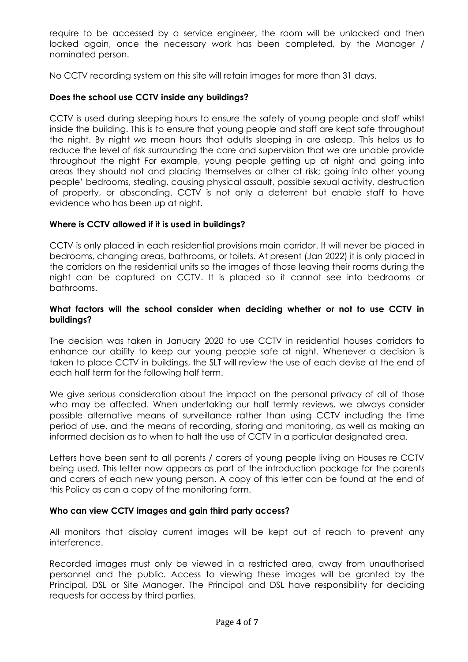require to be accessed by a service engineer, the room will be unlocked and then locked again, once the necessary work has been completed, by the Manager / nominated person.

No CCTV recording system on this site will retain images for more than 31 days.

#### **Does the school use CCTV inside any buildings?**

CCTV is used during sleeping hours to ensure the safety of young people and staff whilst inside the building. This is to ensure that young people and staff are kept safe throughout the night. By night we mean hours that adults sleeping in are asleep. This helps us to reduce the level of risk surrounding the care and supervision that we are unable provide throughout the night For example, young people getting up at night and going into areas they should not and placing themselves or other at risk; going into other young people' bedrooms, stealing, causing physical assault, possible sexual activity, destruction of property, or absconding. CCTV is not only a deterrent but enable staff to have evidence who has been up at night.

#### **Where is CCTV allowed if it is used in buildings?**

CCTV is only placed in each residential provisions main corridor. It will never be placed in bedrooms, changing areas, bathrooms, or toilets. At present (Jan 2022) it is only placed in the corridors on the residential units so the images of those leaving their rooms during the night can be captured on CCTV. It is placed so it cannot see into bedrooms or bathrooms.

#### **What factors will the school consider when deciding whether or not to use CCTV in buildings?**

The decision was taken in January 2020 to use CCTV in residential houses corridors to enhance our ability to keep our young people safe at night. Whenever a decision is taken to place CCTV in buildings, the SLT will review the use of each devise at the end of each half term for the following half term.

We give serious consideration about the impact on the personal privacy of all of those who may be affected. When undertaking our half termly reviews, we always consider possible alternative means of surveillance rather than using CCTV including the time period of use, and the means of recording, storing and monitoring, as well as making an informed decision as to when to halt the use of CCTV in a particular designated area.

Letters have been sent to all parents / carers of young people living on Houses re CCTV being used. This letter now appears as part of the introduction package for the parents and carers of each new young person. A copy of this letter can be found at the end of this Policy as can a copy of the monitoring form.

#### **Who can view CCTV images and gain third party access?**

All monitors that display current images will be kept out of reach to prevent any interference.

Recorded images must only be viewed in a restricted area, away from unauthorised personnel and the public. Access to viewing these images will be granted by the Principal, DSL or Site Manager. The Principal and DSL have responsibility for deciding requests for access by third parties.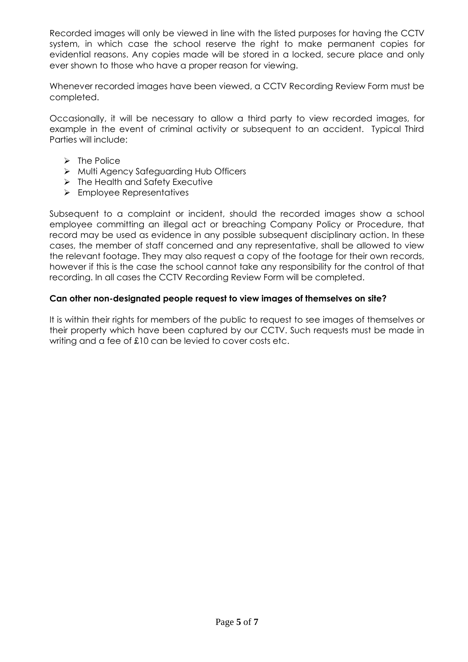Recorded images will only be viewed in line with the listed purposes for having the CCTV system, in which case the school reserve the right to make permanent copies for evidential reasons. Any copies made will be stored in a locked, secure place and only ever shown to those who have a proper reason for viewing.

Whenever recorded images have been viewed, a CCTV Recording Review Form must be completed.

Occasionally, it will be necessary to allow a third party to view recorded images, for example in the event of criminal activity or subsequent to an accident. Typical Third Parties will include:

- ➢ The Police
- ➢ Multi Agency Safeguarding Hub Officers
- ➢ The Health and Safety Executive
- ➢ Employee Representatives

Subsequent to a complaint or incident, should the recorded images show a school employee committing an illegal act or breaching Company Policy or Procedure, that record may be used as evidence in any possible subsequent disciplinary action. In these cases, the member of staff concerned and any representative, shall be allowed to view the relevant footage. They may also request a copy of the footage for their own records, however if this is the case the school cannot take any responsibility for the control of that recording. In all cases the CCTV Recording Review Form will be completed.

#### **Can other non-designated people request to view images of themselves on site?**

It is within their rights for members of the public to request to see images of themselves or their property which have been captured by our CCTV. Such requests must be made in writing and a fee of £10 can be levied to cover costs etc.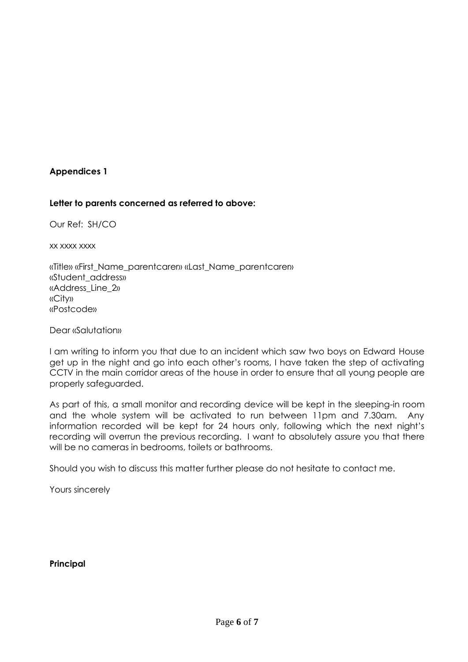#### **Appendices 1**

#### **Letter to parents concerned as referred to above:**

Our Ref: SH/CO

xx xxxx xxxx

«Title» «First\_Name\_parentcarer» «Last\_Name\_parentcarer» «Student\_address» «Address\_Line\_2» «City» «Postcode»

Dear «Salutation»

I am writing to inform you that due to an incident which saw two boys on Edward House get up in the night and go into each other's rooms, I have taken the step of activating CCTV in the main corridor areas of the house in order to ensure that all young people are properly safeguarded.

As part of this, a small monitor and recording device will be kept in the sleeping-in room and the whole system will be activated to run between 11pm and 7.30am. Any information recorded will be kept for 24 hours only, following which the next night's recording will overrun the previous recording. I want to absolutely assure you that there will be no cameras in bedrooms, toilets or bathrooms.

Should you wish to discuss this matter further please do not hesitate to contact me.

Yours sincerely

**Principal**